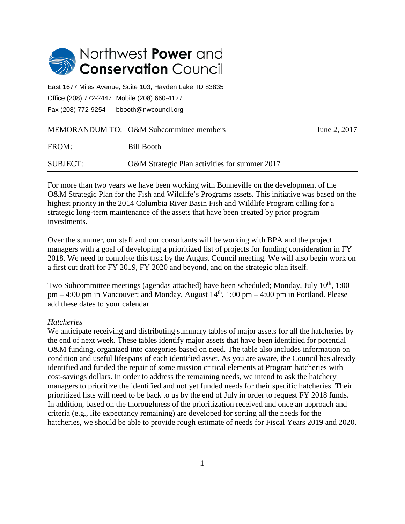

East 1677 Miles Avenue, Suite 103, Hayden Lake, ID 83835 Office (208) 772-2447 Mobile (208) 660-4127 Fax (208) 772-9254 bbooth@nwcouncil.org

|          | MEMORANDUM TO: O&M Subcommittee members       | June 2, 2017 |
|----------|-----------------------------------------------|--------------|
| FROM:    | Bill Booth                                    |              |
| SUBJECT: | O&M Strategic Plan activities for summer 2017 |              |

For more than two years we have been working with Bonneville on the development of the O&M Strategic Plan for the Fish and Wildlife's Programs assets. This initiative was based on the highest priority in the 2014 Columbia River Basin Fish and Wildlife Program calling for a strategic long-term maintenance of the assets that have been created by prior program investments.

Over the summer, our staff and our consultants will be working with BPA and the project managers with a goal of developing a prioritized list of projects for funding consideration in FY 2018. We need to complete this task by the August Council meeting. We will also begin work on a first cut draft for FY 2019, FY 2020 and beyond, and on the strategic plan itself.

Two Subcommittee meetings (agendas attached) have been scheduled; Monday, July 10<sup>th</sup>, 1:00 pm – 4:00 pm in Vancouver; and Monday, August  $14<sup>th</sup>$ , 1:00 pm – 4:00 pm in Portland. Please add these dates to your calendar.

## *Hatcheries*

We anticipate receiving and distributing summary tables of major assets for all the hatcheries by the end of next week. These tables identify major assets that have been identified for potential O&M funding, organized into categories based on need. The table also includes information on condition and useful lifespans of each identified asset. As you are aware, the Council has already identified and funded the repair of some mission critical elements at Program hatcheries with cost-savings dollars. In order to address the remaining needs, we intend to ask the hatchery managers to prioritize the identified and not yet funded needs for their specific hatcheries. Their prioritized lists will need to be back to us by the end of July in order to request FY 2018 funds. In addition, based on the thoroughness of the prioritization received and once an approach and criteria (e.g., life expectancy remaining) are developed for sorting all the needs for the hatcheries, we should be able to provide rough estimate of needs for Fiscal Years 2019 and 2020.